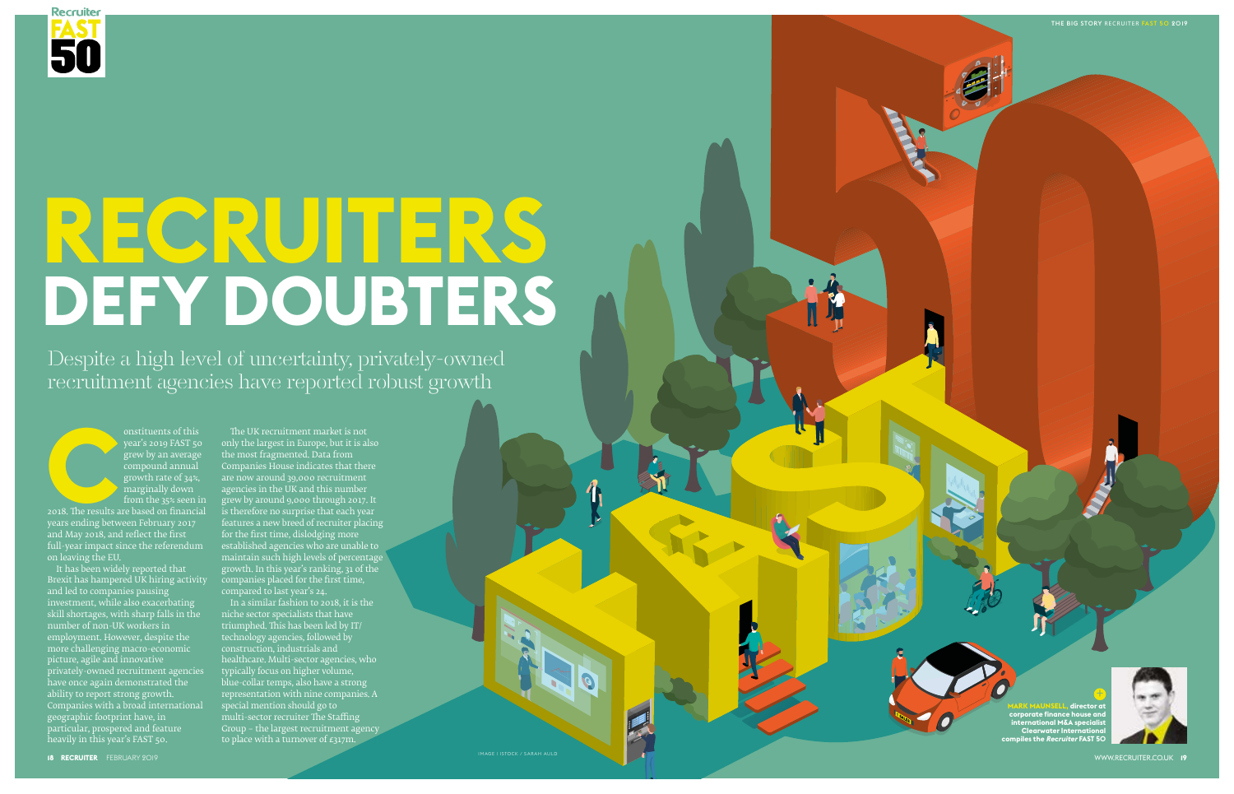

# **RECRUITERS DEFY DOUBTERS**

Despite a high level of uncertainty, privately-owned recruitment agencies have reported robust growth

onstituents of this<br>year's 2019 FAST 5c<br>grew by an average<br>compound annual<br>growth rate of 34%,<br>marginally down<br>from the 35% seen i<br>2018. The results are based on financia<br>years ending between February 2017<br>and May 2018, an 2018. The results are based on financial years ending between February 2017 and May 2018, and reflect the first full-year impact since the referendum established agencies who are unable to on leaving the EU.



It has been widely reported that Brexit has hampered UK hiring activity companies placed for the first time, and led to companies pausing investment, while also exacerbating skill shortages, with sharp falls in the number of non-UK workers in employment. However, despite the more challenging macro-economic picture, agile and innovative privately-owned recruitment agencies have once again demonstrated the ability to report strong growth. Companies with a broad international geographic footprint have, in particular, prospered and feature heavily in this year's FAST 50.

The UK recruitment market is not only the largest in Europe, but it is also the most fragmented. Data from Companies House indicates that there are now around 39,000 recruitment agencies in the UK and this number grew by around 9,000 through 2017. It is therefore no surprise that each year features a new breed of recruiter placing for the first time, dislodging more maintain such high levels of percentage growth. In this year's ranking, 31 of the compared to last year's 24.

In a similar fashion to 2018, it is the niche sector specialists that have triumphed. This has been led by IT/ technology agencies, followed by construction, industrials and healthcare. Multi-sector agencies, who typically focus on higher volume, blue-collar temps, also have a strong representation with nine companies. A special mention should go to multi-sector recruiter The Staffing Group – the largest recruitment agency to place with a turnover of £317m.

IMAGE ISTOCK / SARAH AULD 2019 | IMAGE ISTOCK / SARAH AULD 2019 | IMAGE ISTOCK / SARAH AULD 2019 | IMAGE ISTOCK





THE BIG STORY RECRUITER FAST 50 2019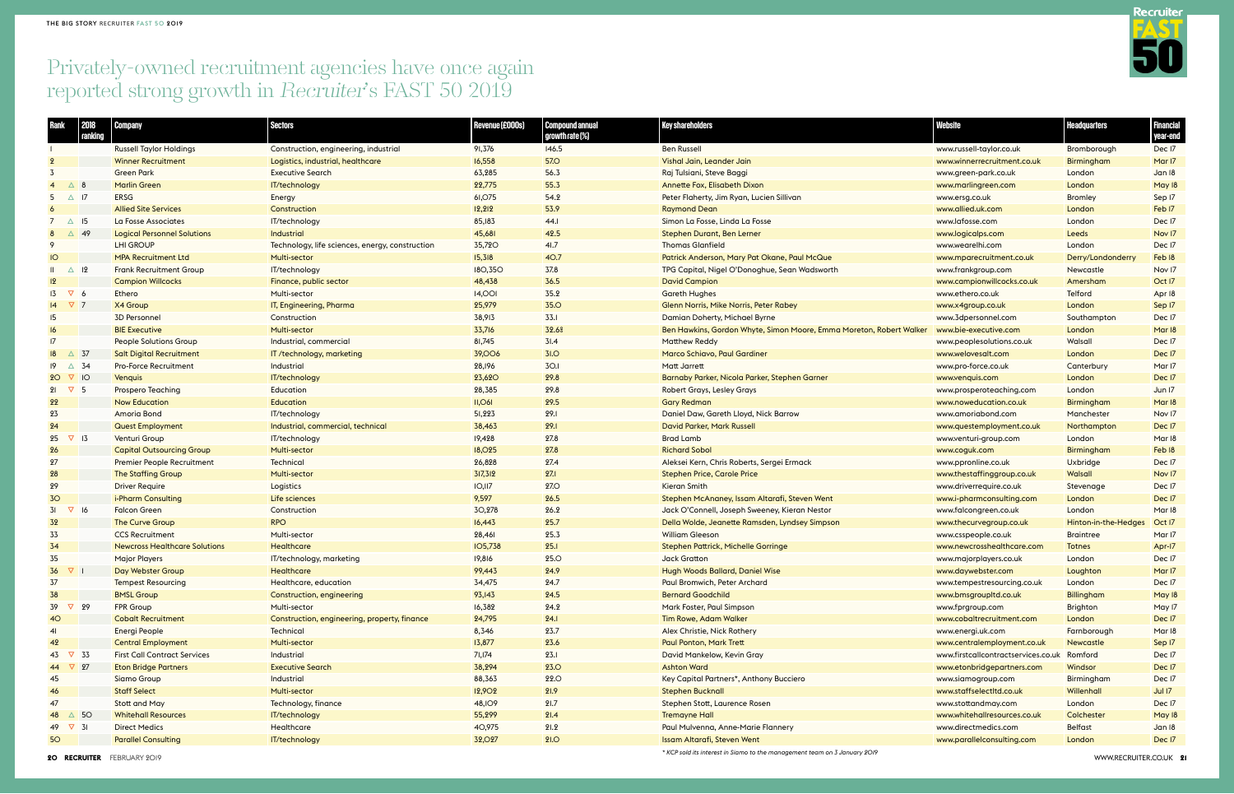**20 RECRUITER** FEBRUARY 2019 WWW.RECRUITER.CO.UK **21**

| <b>Website</b>                      | <b>Headquarters</b>  | <b>Financial</b><br>year-end |
|-------------------------------------|----------------------|------------------------------|
| www.russell-taylor.co.uk            | Bromborough          | Dec I7                       |
| www.winnerrecruitment.co.uk         | <b>Birmingham</b>    | Mar <sub>17</sub>            |
| www.green-park.co.uk                | London               | Jan 18                       |
| www.marlingreen.com                 | London               | May 18                       |
| www.ersq.co.uk                      | <b>Bromley</b>       | Sep 17                       |
| www.allied.uk.com                   | London               | Feb <sub>17</sub>            |
| www.lafosse.com                     | <b>London</b>        | Dec I7                       |
| www.logicalps.com                   | Leeds                | Nov 17                       |
| www.wearelhi.com                    | London               | Dec I7                       |
| www.mparecruitment.co.uk            | Derry/Londonderry    | Feb 18                       |
| www.frankgroup.com                  | Newcastle            | Nov 17                       |
| www.campionwillcocks.co.uk          | Amersham             | Oct 17                       |
| www.ethero.co.uk                    | Telford              | Apr 18                       |
| www.x4group.co.uk                   | London               | Sep 17                       |
| www.3dpersonnel.com                 | Southampton          | Dec I7                       |
| www.bie-executive.com               | London               | Mar 18                       |
| www.peoplesolutions.co.uk           | Walsall              | Dec I7                       |
| www.welovesalt.com                  | London               | Dec I7                       |
| www.pro-force.co.uk                 | Canterbury           | Mar 17                       |
| www.venquis.com                     | London               | Dec I7                       |
| www.prosperoteaching.com            | London               | Jun 17                       |
| www.noweducation.co.uk              | <b>Birmingham</b>    | Mar 18                       |
| www.amoriabond.com                  | Manchester           | Nov 17                       |
| www.questemployment.co.uk           | Northampton          | Dec I7                       |
| www.venturi-group.com               | London               | Mar 18                       |
| www.coguk.com                       | <b>Birmingham</b>    | Feb <sub>18</sub>            |
| www.ppronline.co.uk                 | Uxbridge             | Dec I7                       |
| www.thestaffinggroup.co.uk          | <b>Walsall</b>       | Nov 17                       |
| www.driverrequire.co.uk             | Stevenage            | Dec I7                       |
| www.i-pharmconsulting.com           | London               | Dec I7                       |
| www.falcongreen.co.uk               | London               | Mar <sub>18</sub>            |
| www.thecurvegroup.co.uk             | Hinton-in-the-Hedges | Oct I7                       |
| www.csspeople.co.uk                 | <b>Braintree</b>     | Mar 17                       |
| www.newcrosshealthcare.com          | <b>Totnes</b>        | Apr-17                       |
| www.majorplayers.co.uk              | London               | Dec I7                       |
| www.daywebster.com                  | Loughton             | Mar <sub>17</sub>            |
| www.tempestresourcing.co.uk         | London               | Dec I7                       |
| www.bmsgroupltd.co.uk               | <b>Billingham</b>    | May 18                       |
| www.fprgroup.com                    | <b>Brighton</b>      | May 17                       |
| www.cobaltrecruitment.com           | London               | Dec I7                       |
| www.energi.uk.com                   | Farnborough          | Mar <sub>18</sub>            |
| www.centralemployment.co.uk         | <b>Newcastle</b>     | Sep 17                       |
| www.firstcallcontractservices.co.uk | Romford              | Dec I7                       |
| www.etonbridgepartners.com          | Windsor              | Dec I7                       |
| www.siamogroup.com                  | Birmingham           | Dec <sub>17</sub>            |
| www.staffselectltd.co.uk            | Willenhall           | Jul 17                       |
| www.stottandmay.com                 | London               | Dec 17                       |
| www.whitehallresources.co.uk        | Colchester           | May 18                       |
| www.directmedics.com                | <b>Belfast</b>       | Jan 18                       |
| www.parallelconsulting.com          | London               | Dec I7                       |

| Rank                      | 2018<br>ranking | Company                              | <b>Sectors</b>                                  | Revenue (£000s) | <b>Compound annual</b><br>growth rate (%) | <b>Key shareholders</b>                                             | <b>Website</b>                      | <b>Headquarters</b>  | Financial<br>year-end |
|---------------------------|-----------------|--------------------------------------|-------------------------------------------------|-----------------|-------------------------------------------|---------------------------------------------------------------------|-------------------------------------|----------------------|-----------------------|
|                           |                 | <b>Russell Taylor Holdings</b>       | Construction, engineering, industrial           | 91,376          | 146.5                                     | <b>Ben Russell</b>                                                  | www.russell-taylor.co.uk            | Bromborough          | Dec I7                |
|                           |                 | <b>Winner Recruitment</b>            | Logistics, industrial, healthcare               | 16,558          | <b>57.0</b>                               | Vishal Jain, Leander Jain                                           | www.winnerrecruitment.co.uk         | Birmingham           | Mar <sub>17</sub>     |
|                           |                 | <b>Green Park</b>                    | <b>Executive Search</b>                         | 63,285          | 56.3                                      | Raj Tulsiani, Steve Baggi                                           | www.green-park.co.uk                | London               | Jan 18                |
| $\overline{4}$            | △ 8             | <b>Marlin Green</b>                  | IT/technology                                   | 22,775          | 55.3                                      | <b>Annette Fox, Elisabeth Dixon</b>                                 | www.marlingreen.com                 | London               | May 18                |
| 5                         | $\triangle$ 17  | <b>ERSG</b>                          | Energy                                          | 61,075          | 54.2                                      | Peter Flaherty, Jim Ryan, Lucien Sillivan                           | www.ersg.co.uk                      | <b>Bromley</b>       | Sep I7                |
|                           |                 | <b>Allied Site Services</b>          | Construction                                    | 12,212          | 53.9                                      | <b>Raymond Dean</b>                                                 | www.allied.uk.com                   | London               | Feb I7                |
| $7\quad\triangle$ 15      |                 | La Fosse Associates                  | IT/technology                                   | 85,183          | 44.I                                      | Simon La Fosse, Linda La Fosse                                      | www.lafosse.com                     | London               | Dec I7                |
| 8                         | △ 49            | <b>Logical Personnel Solutions</b>   | <b>Industrial</b>                               | 45,681          | 42.5                                      | Stephen Durant, Ben Lerner                                          | www.logicalps.com                   | Leeds                | Nov 17                |
|                           |                 | <b>LHI GROUP</b>                     | Technology, life sciences, energy, construction | 35,720          | 41.7                                      | <b>Thomas Glanfield</b>                                             | www.wearelhi.com                    | London               | Dec I7                |
| IO                        |                 | <b>MPA Recruitment Ltd</b>           | Multi-sector                                    | 15,318          | 40.7                                      | Patrick Anderson, Mary Pat Okane, Paul McQue                        | www.mparecruitment.co.uk            | Derry/Londonderry    | Feb 18                |
| $\mathbf{H}$              | $\triangle$ 12  | <b>Frank Recruitment Group</b>       | IT/technology                                   | <b>180,350</b>  | 37.8                                      | TPG Capital, Nigel O'Donoghue, Sean Wadsworth                       | www.frankgroup.com                  | Newcastle            | Nov 17                |
| 2                         |                 | <b>Campion Willcocks</b>             | Finance, public sector                          | 48,438          | 36.5                                      | <b>David Campion</b>                                                | www.campionwillcocks.co.uk          | Amersham             | Oct I7                |
| $13 \quad \nabla \quad 6$ |                 | Ethero                               | Multi-sector                                    | <b>14,001</b>   | 35.2                                      | <b>Gareth Hughes</b>                                                | www.ethero.co.uk                    | Telford              | Apr I&                |
| $\sqrt{14}$ $\sqrt{7}$ 7  |                 | X4 Group                             | IT, Engineering, Pharma                         | 25,979          | <b>35.0</b>                               | Glenn Norris, Mike Norris, Peter Rabey                              | www.x4group.co.uk                   | London               | Sep 17                |
| 15                        |                 | <b>3D Personnel</b>                  | Construction                                    | 38,913          | 33.1                                      | Damian Doherty, Michael Byrne                                       | www.3dpersonnel.com                 | Southampton          | Dec I7                |
| 16                        |                 | <b>BIE Executive</b>                 | Multi-sector                                    | 33,716          | 32.6%                                     | Ben Hawkins, Gordon Whyte, Simon Moore, Emma Moreton, Robert Walker | www.bie-executive.com               | London               | Mar 18                |
| 17                        |                 | <b>People Solutions Group</b>        | Industrial, commercial                          | 81,745          | 3I.4                                      | <b>Matthew Reddy</b>                                                | www.peoplesolutions.co.uk           | Walsall              | Dec I7                |
| 18                        | $\triangle$ 37  | <b>Salt Digital Recruitment</b>      | IT /technology, marketing                       | <b>39,006</b>   | 3I.0                                      | Marco Schiavo, Paul Gardiner                                        | www.welovesalt.com                  | London               | Dec I7                |
| $19 \triangle 34$         |                 | <b>Pro-Force Recruitment</b>         | Industrial                                      | 28,196          | <b>30.1</b>                               | Matt Jarrett                                                        | www.pro-force.co.uk                 | Canterbury           | Mar I7                |
| $20 \nabla 10$            |                 | Venquis                              | IT/technology                                   | <b>23,620</b>   | 29.8                                      | Barnaby Parker, Nicola Parker, Stephen Garner                       | www.venquis.com                     | London               | Dec I7                |
| $21 \quad \nabla \quad 5$ |                 | Prospero Teaching                    | Education                                       | 28,385          | 29.8                                      | <b>Robert Grays, Lesley Grays</b>                                   | www.prosperoteaching.com            | London               | Jun 17                |
| 22                        |                 | <b>Now Education</b>                 | <b>Education</b>                                | $II,$ O6I       | 29.5                                      | <b>Gary Redman</b>                                                  | www.noweducation.co.uk              | Birmingham           | Mar 18                |
| 23                        |                 | Amoria Bond                          | IT/technology                                   | 51,223          | 29.1                                      | Daniel Daw, Gareth Lloyd, Nick Barrow                               | www.amoriabond.com                  | Manchester           | Nov 17                |
| 24                        |                 | <b>Quest Employment</b>              | Industrial, commercial, technical               | 38,463          | 29.1                                      | <b>David Parker, Mark Russell</b>                                   | www.questemployment.co.uk           | Northampton          | Dec I7                |
| 25                        | $\nabla$ 13     | Venturi Group                        | IT/technology                                   | 19,428          | 27.8                                      | <b>Brad Lamb</b>                                                    | www.venturi-group.com               | London               | Mar 18                |
| 26                        |                 | <b>Capital Outsourcing Group</b>     | Multi-sector                                    | <b>18,025</b>   | 27.8                                      | <b>Richard Sobol</b>                                                | www.coguk.com                       | Birmingham           | Feb 18                |
| 27                        |                 | <b>Premier People Recruitment</b>    | Technical                                       | 26,828          | 27.4                                      | Aleksei Kern, Chris Roberts, Sergei Ermack                          | www.ppronline.co.uk                 | Uxbridge             | Dec I7                |
| 28                        |                 | <b>The Staffing Group</b>            | Multi-sector                                    | 317,312         | 27.1                                      | <b>Stephen Price, Carole Price</b>                                  | www.thestaffinggroup.co.uk          | Walsall              | Nov 17                |
| 29                        |                 | <b>Driver Require</b>                | Logistics                                       | IO, II7         | <b>27.0</b>                               | Kieran Smith                                                        | www.driverrequire.co.uk             | Stevenage            | Dec I7                |
| 30                        |                 | i-Pharm Consulting                   | Life sciences                                   | 9,597           | 26.5                                      | Stephen McAnaney, Issam Altarafi, Steven Went                       | www.i-pharmconsulting.com           | London               | Dec I7                |
| 31                        | $\nabla$ 16     | <b>Falcon Green</b>                  | Construction                                    | 30,278          | 26.2                                      | Jack O'Connell, Joseph Sweeney, Kieran Nestor                       | www.falcongreen.co.uk               | London               | Mar I&                |
| 32                        |                 | <b>The Curve Group</b>               | <b>RPO</b>                                      | 16,443          | 25.7                                      | Della Wolde, Jeanette Ramsden, Lyndsey Simpson                      | www.thecurvegroup.co.uk             | Hinton-in-the-Hedges | Oct I7                |
| 33                        |                 | <b>CCS Recruitment</b>               | Multi-sector                                    | 28,461          | 25.3                                      | <b>William Gleeson</b>                                              | www.csspeople.co.uk                 | <b>Braintree</b>     | Mar I7                |
| 34                        |                 | <b>Newcross Healthcare Solutions</b> | Healthcare                                      | <b>IO5,738</b>  | 25.1                                      | Stephen Pattrick, Michelle Gorringe                                 | www.newcrosshealthcare.com          | Totnes               | Apr-17                |
| 35                        |                 | <b>Major Players</b>                 | IT/technology, marketing                        | 19,816          | <b>25.0</b>                               | <b>Jack Gratton</b>                                                 | www.majorplayers.co.uk              | London               | Dec I7                |
| 36                        | $\nabla$ 1      | Day Webster Group                    | <b>Healthcare</b>                               | 99,443          | 24.9                                      | Hugh Woods Ballard, Daniel Wise                                     | www.daywebster.com                  | Loughton             | Mar <sub>17</sub>     |
| 37                        |                 | <b>Tempest Resourcing</b>            | Healthcare, education                           | 34,475          | 24.7                                      | Paul Bromwich, Peter Archard                                        | www.tempestresourcing.co.uk         | London               | Dec I7                |
| 38                        |                 | <b>BMSL Group</b>                    | Construction, engineering                       | 93,143          | 24.5                                      | <b>Bernard Goodchild</b>                                            | www.bmsgroupltd.co.uk               | <b>Billingham</b>    | May 18                |
| 39                        | $\nabla$ 29     | FPR Group                            | Multi-sector                                    | 16,382          | 24.2                                      | Mark Foster, Paul Simpson                                           | www.fprgroup.com                    | <b>Brighton</b>      | May 17                |
| 40                        |                 | <b>Cobalt Recruitment</b>            | Construction, engineering, property, finance    | 24,795          | 24.1                                      | <b>Tim Rowe, Adam Walker</b>                                        | www.cobaltrecruitment.com           | London               | Dec I7                |
| 41                        |                 | Energi People                        | Technical                                       | 8,346           | 23.7                                      | Alex Christie, Nick Rothery                                         | www.energi.uk.com                   | Farnborough          | Mar 18                |
| 42                        |                 | <b>Central Employment</b>            | Multi-sector                                    | 13,877          | 23.6                                      | <b>Paul Ponton, Mark Trett</b>                                      | www.centralemployment.co.uk         | Newcastle            | Sep 17                |
| 43 ∇ 33                   |                 | <b>First Call Contract Services</b>  | Industrial                                      | 71,174          | 23.1                                      | David Mankelow, Kevin Gray                                          | www.firstcallcontractservices.co.uk | Romford              | Dec I7                |
| 44 ∇ 27                   |                 | <b>Eton Bridge Partners</b>          | <b>Executive Search</b>                         | 38,294          | <b>23.0</b>                               | <b>Ashton Ward</b>                                                  | www.etonbridgepartners.com          | Windsor              | Dec I7                |
| 45                        |                 | Siamo Group                          | Industrial                                      | 88,363          | <b>22.0</b>                               | Key Capital Partners*, Anthony Bucciero                             | www.siamogroup.com                  | Birmingham           | Dec I7                |
| 46                        |                 | <b>Staff Select</b>                  | <b>Multi-sector</b>                             | 12,902          | 21.9                                      | <b>Stephen Bucknall</b>                                             | www.staffselectltd.co.uk            | Willenhall           | Jul 17                |
| 47                        |                 | Stott and May                        | Technology, finance                             | 48, IO9         | 21.7                                      | Stephen Stott, Laurence Rosen                                       | www.stottandmay.com                 | London               | Dec I7                |
| 48 △ 50                   |                 | <b>Whitehall Resources</b>           | IT/technology                                   | 55,299          | 21.4                                      | <b>Tremayne Hall</b>                                                | www.whitehallresources.co.uk        | Colchester           | May 18                |
| 49 $\nabla$ 31            |                 | <b>Direct Medics</b>                 | Healthcare                                      | 40,975          | 21.2                                      | Paul Mulvenna, Anne-Marie Flannery                                  | www.directmedics.com                | <b>Belfast</b>       | Jan 18                |
| 50 <sub>o</sub>           |                 | <b>Parallel Consulting</b>           | IT/technology                                   | 32,027          | 91.0                                      | Issam Altarafi, Steven Went                                         | www.parallelconsulting.com          | London               | Dec I7                |
|                           |                 |                                      |                                                 |                 |                                           |                                                                     |                                     |                      |                       |

### Privately-owned recruitment agencies have once again reported strong growth in Recruiter's FAST 50 2019

*\* KCP sold its interest in Siamo to the management team on 3 January 2019*